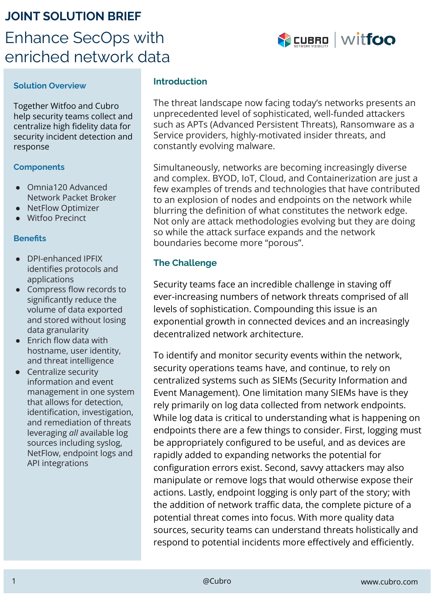# **JOINT SOLUTION BRIEF** Enhance SecOps with enriched network data



#### **Solution Overview**

Together Witfoo and Cubro help security teams collect and centralize high fidelity data for security incident detection and response

#### **Components**

- Omnia120 Advanced Network Packet Broker
- NetFlow Optimizer
- Witfoo Precinct

#### **Benefits**

- DPI-enhanced IPFIX identifies protocols and applications
- Compress flow records to significantly reduce the volume of data exported and stored without losing data granularity
- Enrich flow data with hostname, user identity, and threat intelligence
- Centralize security information and event management in one system that allows for detection, identification, investigation, and remediation of threats leveraging *all* available log sources including syslog, NetFlow, endpoint logs and API integrations

#### **Introduction**

The threat landscape now facing today's networks presents an unprecedented level of sophisticated, well-funded attackers such as APTs (Advanced Persistent Threats), Ransomware as a Service providers, highly-motivated insider threats, and constantly evolving malware.

Simultaneously, networks are becoming increasingly diverse and complex. BYOD, IoT, Cloud, and Containerization are just a few examples of trends and technologies that have contributed to an explosion of nodes and endpoints on the network while blurring the definition of what constitutes the network edge. Not only are attack methodologies evolving but they are doing so while the attack surface expands and the network boundaries become more "porous".

## **The Challenge**

Security teams face an incredible challenge in staving off ever-increasing numbers of network threats comprised of all levels of sophistication. Compounding this issue is an exponential growth in connected devices and an increasingly decentralized network architecture.

To identify and monitor security events within the network, security operations teams have, and continue, to rely on centralized systems such as SIEMs (Security Information and Event Management). One limitation many SIEMs have is they rely primarily on log data collected from network endpoints. While log data is critical to understanding what is happening on endpoints there are a few things to consider. First, logging must be appropriately configured to be useful, and as devices are rapidly added to expanding networks the potential for configuration errors exist. Second, savvy attackers may also manipulate or remove logs that would otherwise expose their actions. Lastly, endpoint logging is only part of the story; with the addition of network traffic data, the complete picture of a potential threat comes into focus. With more quality data sources, security teams can understand threats holistically and respond to potential incidents more effectively and efficiently.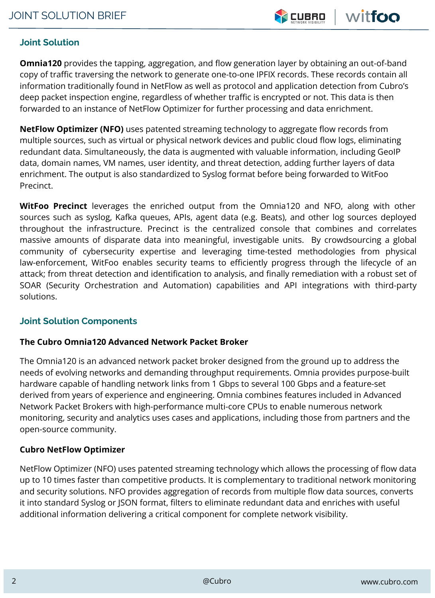

# **Joint Solution**

**Omnia120** provides the tapping, aggregation, and flow generation layer by obtaining an out-of-band copy of traffic traversing the network to generate one-to-one IPFIX records. These records contain all information traditionally found in NetFlow as well as protocol and application detection from Cubro's deep packet inspection engine, regardless of whether traffic is encrypted or not. This data is then forwarded to an instance of NetFlow Optimizer for further processing and data enrichment.

**NetFlow Optimizer (NFO)** uses patented streaming technology to aggregate flow records from multiple sources, such as virtual or physical network devices and public cloud flow logs, eliminating redundant data. Simultaneously, the data is augmented with valuable information, including GeoIP data, domain names, VM names, user identity, and threat detection, adding further layers of data enrichment. The output is also standardized to Syslog format before being forwarded to WitFoo Precinct.

**WitFoo Precinct** leverages the enriched output from the Omnia120 and NFO, along with other sources such as syslog, Kafka queues, APIs, agent data (e.g. Beats), and other log sources deployed throughout the infrastructure. Precinct is the centralized console that combines and correlates massive amounts of disparate data into meaningful, investigable units. By crowdsourcing a global community of cybersecurity expertise and leveraging time-tested methodologies from physical law-enforcement, WitFoo enables security teams to efficiently progress through the lifecycle of an attack; from threat detection and identification to analysis, and finally remediation with a robust set of SOAR (Security Orchestration and Automation) capabilities and API integrations with third-party solutions.

## **Joint Solution Components**

## **The Cubro Omnia120 Advanced Network Packet Broker**

The Omnia120 is an advanced network packet broker designed from the ground up to address the needs of evolving networks and demanding throughput requirements. Omnia provides purpose-built hardware capable of handling network links from 1 Gbps to several 100 Gbps and a feature-set derived from years of experience and engineering. Omnia combines features included in Advanced Network Packet Brokers with high-performance multi-core CPUs to enable numerous network monitoring, security and analytics uses cases and applications, including those from partners and the open-source community.

## **Cubro NetFlow Optimizer**

NetFlow Optimizer (NFO) uses patented streaming technology which allows the processing of flow data up to 10 times faster than competitive products. It is complementary to traditional network monitoring and security solutions. NFO provides aggregation of records from multiple flow data sources, converts it into standard Syslog or JSON format, filters to eliminate redundant data and enriches with useful additional information delivering a critical component for complete network visibility.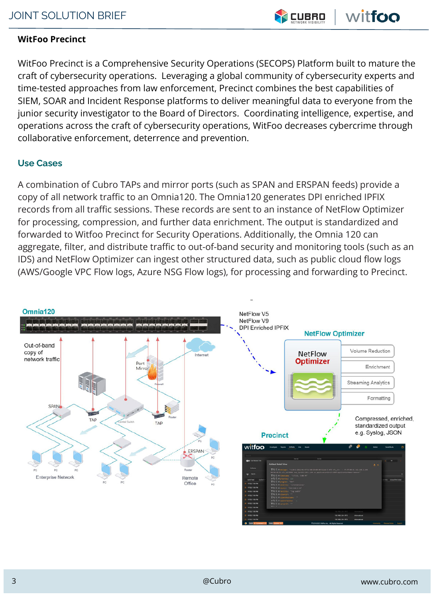

# **WitFoo Precinct**

WitFoo Precinct is a Comprehensive Security Operations (SECOPS) Platform built to mature the craft of cybersecurity operations. Leveraging a global community of cybersecurity experts and time-tested approaches from law enforcement, Precinct combines the best capabilities of SIEM, SOAR and Incident Response platforms to deliver meaningful data to everyone from the junior security investigator to the Board of Directors. Coordinating intelligence, expertise, and operations across the craft of cybersecurity operations, WitFoo decreases cybercrime through collaborative enforcement, deterrence and prevention.

## **Use Cases**

A combination of Cubro TAPs and mirror ports (such as SPAN and ERSPAN feeds) provide a copy of all network traffic to an Omnia120. The Omnia120 generates DPI enriched IPFIX records from all traffic sessions. These records are sent to an instance of NetFlow Optimizer for processing, compression, and further data enrichment. The output is standardized and forwarded to Witfoo Precinct for Security Operations. Additionally, the Omnia 120 can aggregate, filter, and distribute traffic to out-of-band security and monitoring tools (such as an IDS) and NetFlow Optimizer can ingest other structured data, such as public cloud flow logs (AWS/Google VPC Flow logs, Azure NSG Flow logs), for processing and forwarding to Precinct.

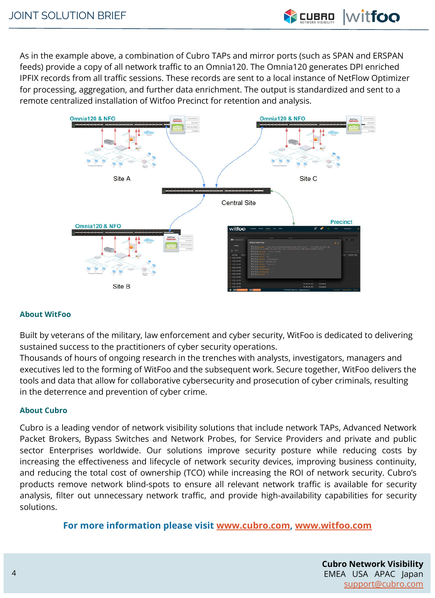As in the example above, a combination of Cubro TAPs and mirror ports (such as SPAN and ERSPAN feeds) provide a copy of all network traffic to an Omnia120. The Omnia120 generates DPI enriched IPFIX records from all traffic sessions. These records are sent to a local instance of NetFlow Optimizer for processing, aggregation, and further data enrichment. The output is standardized and sent to a remote centralized installation of Witfoo Precinct for retention and analysis.



#### **About WitFoo**

Built by veterans of the military, law enforcement and cyber security, WitFoo is dedicated to delivering sustained success to the practitioners of cyber security operations.

Thousands of hours of ongoing research in the trenches with analysts, investigators, managers and executives led to the forming of WitFoo and the subsequent work. Secure together, WitFoo delivers the tools and data that allow for collaborative cybersecurity and prosecution of cyber criminals, resulting in the deterrence and prevention of cyber crime.

#### **About Cubro**

Cubro is a leading vendor of network visibility solutions that include network TAPs, Advanced Network Packet Brokers, Bypass Switches and Network Probes, for Service Providers and private and public sector Enterprises worldwide. Our solutions improve security posture while reducing costs by increasing the effectiveness and lifecycle of network security devices, improving business continuity, and reducing the total cost of ownership (TCO) while increasing the ROI of network security. Cubro's products remove network blind-spots to ensure all relevant network traffic is available for security analysis, filter out unnecessary network traffic, and provide high-availability capabilities for security solutions.

**For more information please visit [www.cubro.com](http://www.cubro.com), [www.witfoo.com](http://www.witfoo.com)**

**PLACE FOR PARTNA PARTNER**